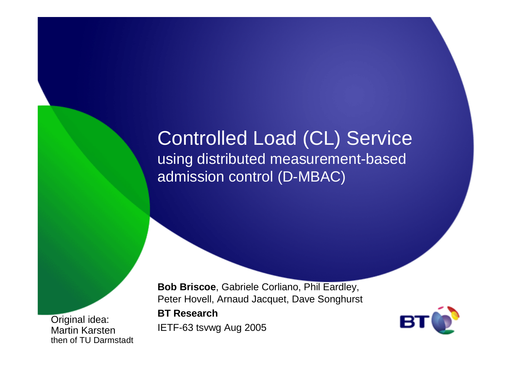#### Controlled Load (CL) Service using distributed measurement-based admission control (D-MBAC)

 IETF-63 tsvwg Aug 2005 Original idea: Martin Karstenthen of TU Darmstadt

**Bob Briscoe**, Gabriele Corliano, Phil Eardley, Peter Hovell, Arnaud Jacquet, Dave Songhurst**BT Research**

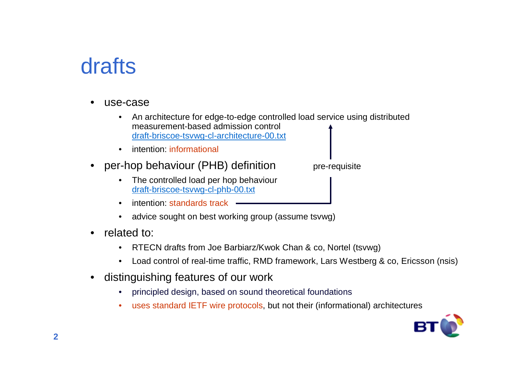# **drafts**

- • use-case
	- An architecture for edge-to-edge controlled load service using distributed  $\bullet$ measurement-based admission controldraft-briscoe-tsvwg-cl-architecture-00.txt
	- •intention: informational
- • per-hop behaviour (PHB) definition
	- The controlled load per hop behaviourdraft-briscoe-tsvwg-cl-phb-00.txt
	- •intention: standards track
	- $\bullet$ advice sought on best working group (assume tsvwg)
- • related to:
	- $\bullet$ RTECN drafts from Joe Barbiarz/Kwok Chan & co, Nortel (tsvwg)
	- $\bullet$ Load control of real-time traffic, RMD framework, Lars Westberg & co, Ericsson (nsis)

pre-requisite

- • distinguishing features of our work
	- •principled design, based on sound theoretical foundations
	- $\bullet$ uses standard IETF wire protocols, but not their (informational) architectures

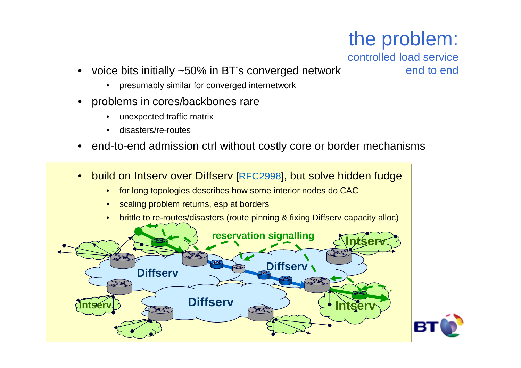# the problem:

controlled load service

- k end to end • voice bits initially ~50% in BT's converged network
	- presumably similar for converged internetwork
- problems in cores/backbones rare
	- $\bullet$ unexpected traffic matrix
	- •disasters/re-routes
- end-to-end admission ctrl without costly core or border mechanisms
- build on Intserv over Diffserv [RFC2998], but solve hidden fudge
	- $\bullet$ for long topologies describes how some interior nodes do CAC
	- $\bullet$ scaling problem returns, esp at borders
	- $\bullet$ brittle to re-routes/disasters (route pinning & fixing Diffserv capacity alloc)

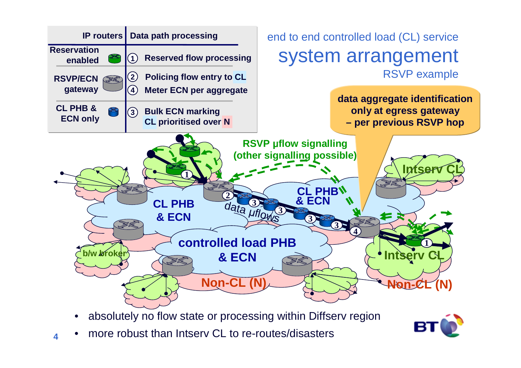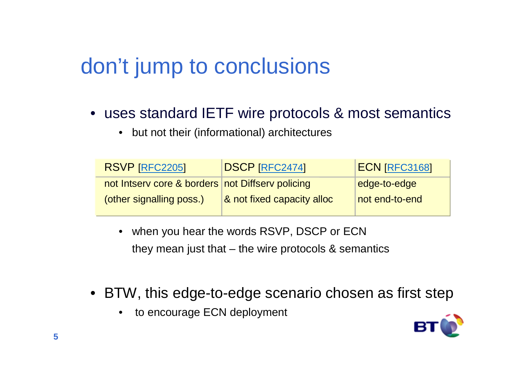# don't jump to conclusions

- uses standard IETF wire protocols & most semantics
	- $\bullet$ but not their (informational) architectures

| RSVP [RFC2205]                                   | <b>DSCP [RFC2474]</b>      | <b>ECN [RFC3168]</b> |
|--------------------------------------------------|----------------------------|----------------------|
| not Intserv core & borders not Diffserv policing |                            | edge-to-edge         |
| (other signalling poss.)                         | & not fixed capacity alloc | not end-to-end       |

- • when you hear the words RSVP, DSCP or ECNthey mean just that  $-$  the wire protocols & semantics
- BTW, this edge-to-edge scenario chosen as first step
	- •to encourage ECN deployment

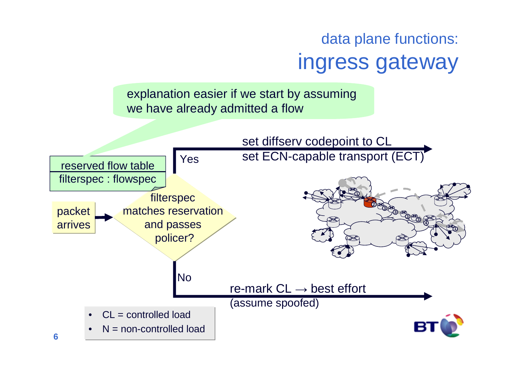## data plane functions:ingress gateway

explanation easier if we start by assuming we have already admitted a flow

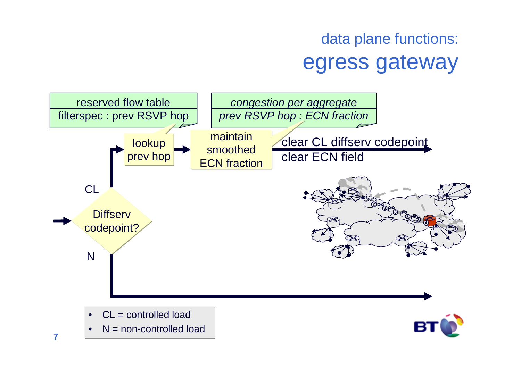## data plane functions:egress gateway

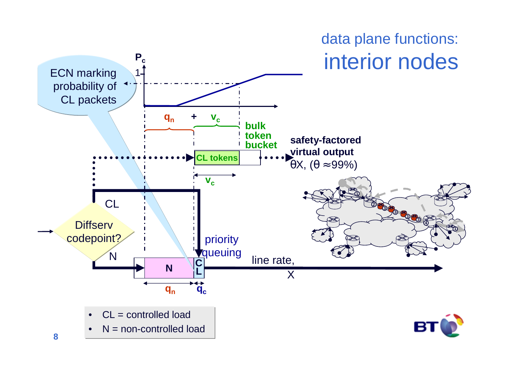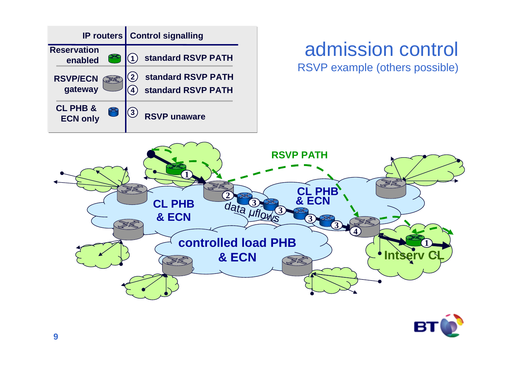

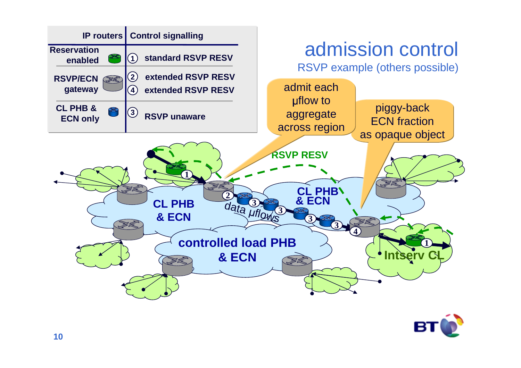

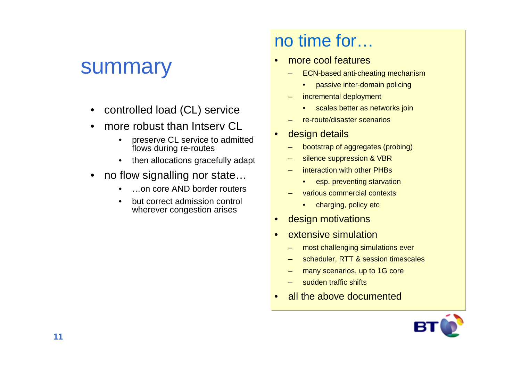#### summary

- •controlled load (CL) service
- • more robust than Intserv CL
	- preserve CL service to admitted •flows during re-routes
	- $\bullet$ then allocations gracefully adapt
- • no flow signalling nor state…
	- •…on core AND border routers
	- • but correct admission control wherever congestion arises

#### no time for…

- • more cool features
	- ECN-based anti-cheating mechanism
		- •passive inter-domain policing
	- incremental deployment
		- scales better as networks join
	- –re-route/disaster scenarios
- • design details
	- bootstrap of aggregates (probing)
	- silence suppression & VBR
	- interaction with other PHBs
		- esp. preventing starvation
	- various commercial contexts
		- •charging, policy etc
- •design motivations
- • extensive simulation
	- –most challenging simulations ever
	- scheduler, RTT & session timescales
	- many scenarios, up to 1G core
	- sudden traffic shifts
- •all the above documented

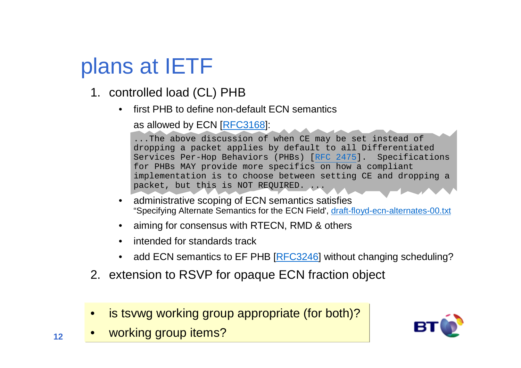# plans at IETF

- 1. controlled load (CL) PHB
	- first PHB to define non-default ECN semantics•

as allowed by ECN [RFC3168]:

...The above discussion of when CE may be set instead of dropping a packet applies by default to all Differentiated Specifications Services Per-Hop Behaviors (PHBs) [RFC 2475]. for PHBs MAY provide more specifics on how a compliant implementation is to choose between setting CE and dropping a packet, but this is NOT REQUIRED.

- • administrative scoping of ECN semantics satisfies "Specifying Alternate Semantics for the ECN Field', draft-floyd-ecn-alternates-00.txt
- •aiming for consensus with RTECN, RMD & others
- intended for standards track
- •add ECN semantics to EF PHB [RFC3246] without changing scheduling?
- 2. extension to RSVP for opaque ECN fraction object
- •is tsvwg working group appropriate (for both)?
- •working group items?

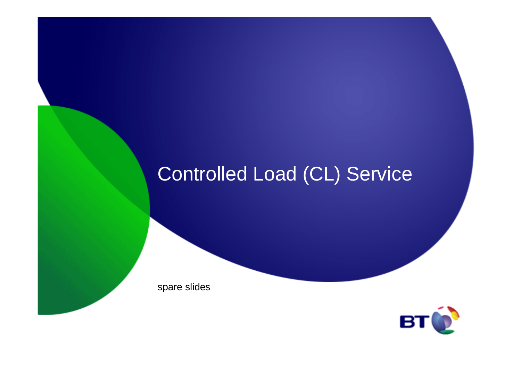# Controlled Load (CL) Service

spare slides

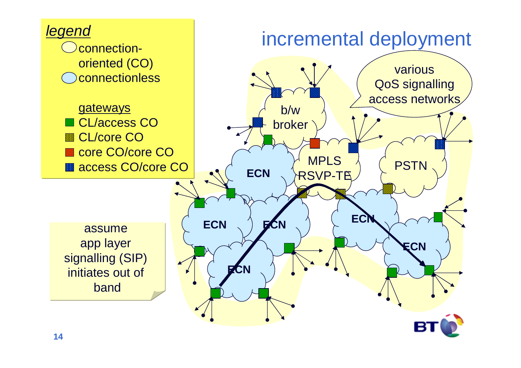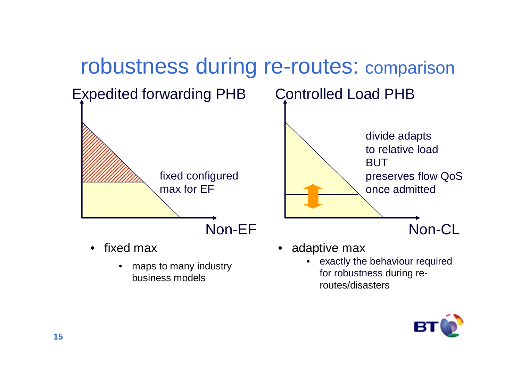

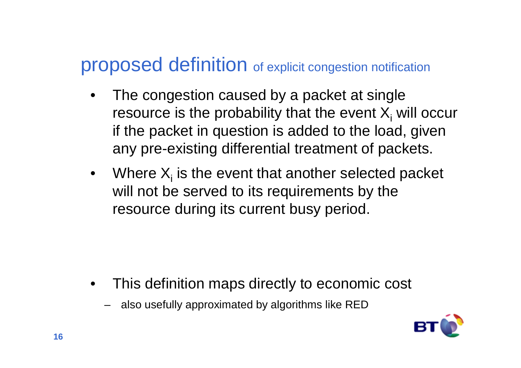#### proposed definition of explicit congestion notification

- • The congestion caused by a packet at single resource is the probability that the event  $\mathsf{X}_\mathsf{i}$  will occur if the packet in question is added to the load, given any pre-existing differential treatment of packets.
- Where  $X_i$  is the event that another selected packet will not be served to its requirements by the resource during its current busy period.

- • This definition maps directly to economic cost
	- also usefully approximated by algorithms like RED